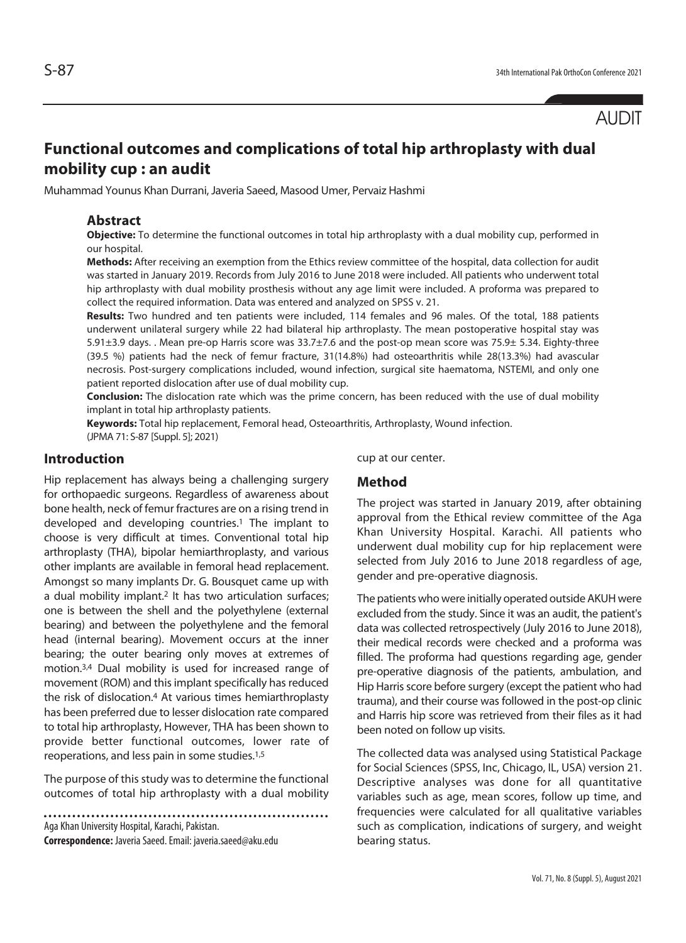# **Functional outcomes and complications of total hip arthroplasty with dual mobility cup : an audit**

Muhammad Younus Khan Durrani, Javeria Saeed, Masood Umer, Pervaiz Hashmi

## **Abstract**

**Objective:** To determine the functional outcomes in total hip arthroplasty with a dual mobility cup, performed in our hospital.

**Methods:** After receiving an exemption from the Ethics review committee of the hospital, data collection for audit was started in January 2019. Records from July 2016 to June 2018 were included. All patients who underwent total hip arthroplasty with dual mobility prosthesis without any age limit were included. A proforma was prepared to collect the required information. Data was entered and analyzed on SPSS v. 21.

**Results:** Two hundred and ten patients were included, 114 females and 96 males. Of the total, 188 patients underwent unilateral surgery while 22 had bilateral hip arthroplasty. The mean postoperative hospital stay was 5.91±3.9 days. . Mean pre-op Harris score was 33.7±7.6 and the post-op mean score was 75.9± 5.34. Eighty-three (39.5 %) patients had the neck of femur fracture, 31(14.8%) had osteoarthritis while 28(13.3%) had avascular necrosis. Post-surgery complications included, wound infection, surgical site haematoma, NSTEMI, and only one patient reported dislocation after use of dual mobility cup.

**Conclusion:** The dislocation rate which was the prime concern, has been reduced with the use of dual mobility implant in total hip arthroplasty patients.

**Keywords:** Total hip replacement, Femoral head, Osteoarthritis, Arthroplasty, Wound infection. (JPMA 71: S-87 [Suppl. 5]; 2021)

## **Introduction**

Hip replacement has always being a challenging surgery for orthopaedic surgeons. Regardless of awareness about bone health, neck of femur fractures are on a rising trend in developed and developing countries.<sup>1</sup> The implant to choose is very difficult at times. Conventional total hip arthroplasty (THA), bipolar hemiarthroplasty, and various other implants are available in femoral head replacement. Amongst so many implants Dr. G. Bousquet came up with a dual mobility implant.2 It has two articulation surfaces; one is between the shell and the polyethylene (external bearing) and between the polyethylene and the femoral head (internal bearing). Movement occurs at the inner bearing; the outer bearing only moves at extremes of motion.3,4 Dual mobility is used for increased range of movement (ROM) and this implant specifically has reduced the risk of dislocation.4 At various times hemiarthroplasty has been preferred due to lesser dislocation rate compared to total hip arthroplasty, However, THA has been shown to provide better functional outcomes, lower rate of reoperations, and less pain in some studies.1,5

The purpose of this study was to determine the functional outcomes of total hip arthroplasty with a dual mobility

Aga Khan University Hospital, Karachi, Pakistan.

**Correspondence:** Javeria Saeed. Email: javeria.saeed@aku.edu

cup at our center.

## **Method**

The project was started in January 2019, after obtaining approval from the Ethical review committee of the Aga Khan University Hospital. Karachi. All patients who underwent dual mobility cup for hip replacement were selected from July 2016 to June 2018 regardless of age, gender and pre-operative diagnosis.

The patients who were initially operated outside AKUH were excluded from the study. Since it was an audit, the patient's data was collected retrospectively (July 2016 to June 2018), their medical records were checked and a proforma was filled. The proforma had questions regarding age, gender pre-operative diagnosis of the patients, ambulation, and Hip Harris score before surgery (except the patient who had trauma), and their course was followed in the post-op clinic and Harris hip score was retrieved from their files as it had been noted on follow up visits.

The collected data was analysed using Statistical Package for Social Sciences (SPSS, Inc, Chicago, IL, USA) version 21. Descriptive analyses was done for all quantitative variables such as age, mean scores, follow up time, and frequencies were calculated for all qualitative variables such as complication, indications of surgery, and weight bearing status.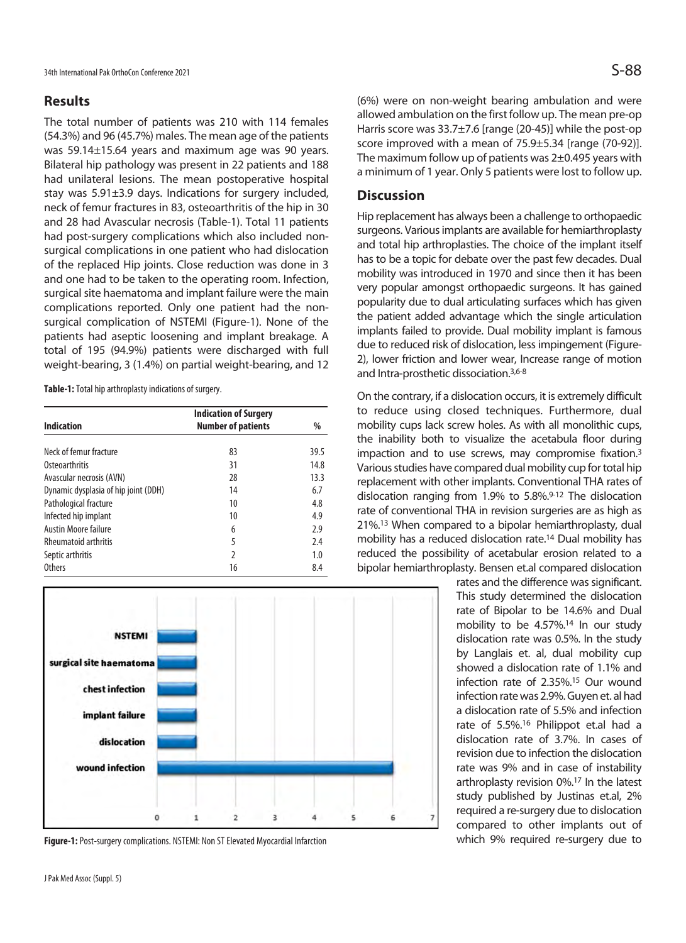## **Results**

The total number of patients was 210 with 114 females (54.3%) and 96 (45.7%) males. The mean age of the patients was 59.14±15.64 years and maximum age was 90 years. Bilateral hip pathology was present in 22 patients and 188 had unilateral lesions. The mean postoperative hospital stay was 5.91±3.9 days. Indications for surgery included, neck of femur fractures in 83, osteoarthritis of the hip in 30 and 28 had Avascular necrosis (Table-1). Total 11 patients had post-surgery complications which also included nonsurgical complications in one patient who had dislocation of the replaced Hip joints. Close reduction was done in 3 and one had to be taken to the operating room. Infection, surgical site haematoma and implant failure were the main complications reported. Only one patient had the nonsurgical complication of NSTEMI (Figure-1). None of the patients had aseptic loosening and implant breakage. A total of 195 (94.9%) patients were discharged with full weight-bearing, 3 (1.4%) on partial weight-bearing, and 12

**Table-1:** Total hip arthroplasty indications of surgery.

| <b>Indication</b>                    | <b>Indication of Surgery</b><br><b>Number of patients</b> | %    |
|--------------------------------------|-----------------------------------------------------------|------|
|                                      |                                                           |      |
| Neck of femur fracture               | 83                                                        | 39.5 |
| Osteoarthritis                       | 31                                                        | 14.8 |
| Avascular necrosis (AVN)             | 28                                                        | 13.3 |
| Dynamic dysplasia of hip joint (DDH) | 14                                                        | 6.7  |
| Pathological fracture                | 10                                                        | 4.8  |
| Infected hip implant                 | 10                                                        | 4.9  |
| <b>Austin Moore failure</b>          | 6                                                         | 2.9  |
| <b>Rheumatoid arthritis</b>          | 5                                                         | 7.4  |
| Septic arthritis                     | 2                                                         | 1.0  |
| Others                               | 16                                                        | 8.4  |



**Figure-1:** Post-surgery complications. NSTEMI: Non ST Elevated Myocardial Infarction

(6%) were on non-weight bearing ambulation and were allowed ambulation on the first follow up. The mean pre-op Harris score was 33.7±7.6 [range (20-45)] while the post-op score improved with a mean of 75.9±5.34 [range (70-92)]. The maximum follow up of patients was 2±0.495 years with a minimum of 1 year. Only 5 patients were lost to follow up.

## **Discussion**

Hip replacement has always been a challenge to orthopaedic surgeons. Various implants are available for hemiarthroplasty and total hip arthroplasties. The choice of the implant itself has to be a topic for debate over the past few decades. Dual mobility was introduced in 1970 and since then it has been very popular amongst orthopaedic surgeons. It has gained popularity due to dual articulating surfaces which has given the patient added advantage which the single articulation implants failed to provide. Dual mobility implant is famous due to reduced risk of dislocation, less impingement (Figure-2), lower friction and lower wear, Increase range of motion and Intra-prosthetic dissociation.3,6-8

On the contrary, if a dislocation occurs, it is extremely difficult to reduce using closed techniques. Furthermore, dual mobility cups lack screw holes. As with all monolithic cups, the inability both to visualize the acetabula floor during impaction and to use screws, may compromise fixation.3 Various studies have compared dual mobility cup for total hip replacement with other implants. Conventional THA rates of dislocation ranging from 1.9% to 5.8%.9-12 The dislocation rate of conventional THA in revision surgeries are as high as 21%.13 When compared to a bipolar hemiarthroplasty, dual mobility has a reduced dislocation rate.14 Dual mobility has reduced the possibility of acetabular erosion related to a bipolar hemiarthroplasty. Bensen et.al compared dislocation

> rates and the difference was significant. This study determined the dislocation rate of Bipolar to be 14.6% and Dual mobility to be 4.57%.14 In our study dislocation rate was 0.5%. In the study by Langlais et. al, dual mobility cup showed a dislocation rate of 1.1% and infection rate of 2.35%.15 Our wound infection rate was 2.9%. Guyen et. al had a dislocation rate of 5.5% and infection rate of 5.5%.16 Philippot et.al had a dislocation rate of 3.7%. In cases of revision due to infection the dislocation rate was 9% and in case of instability arthroplasty revision 0%.17 In the latest study published by Justinas et.al, 2% required a re-surgery due to dislocation compared to other implants out of which 9% required re-surgery due to